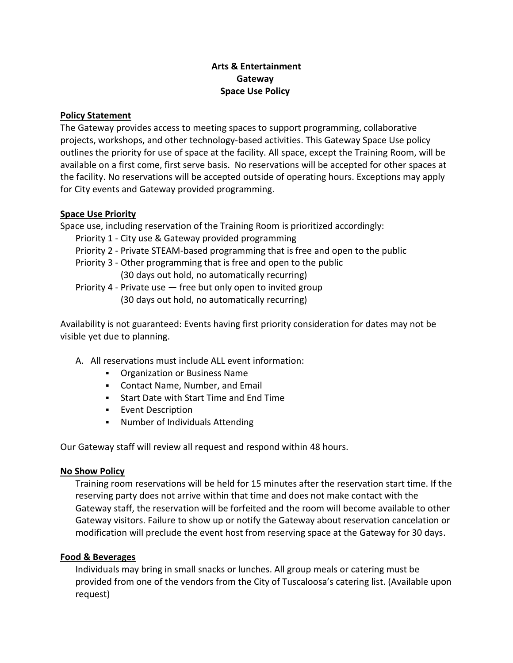# **Arts & Entertainment Gateway Space Use Policy**

#### **Policy Statement**

The Gateway provides access to meeting spaces to support programming, collaborative projects, workshops, and other technology-based activities. This Gateway Space Use policy outlines the priority for use of space at the facility. All space, except the Training Room, will be available on a first come, first serve basis. No reservations will be accepted for other spaces at the facility. No reservations will be accepted outside of operating hours. Exceptions may apply for City events and Gateway provided programming.

#### **Space Use Priority**

Space use, including reservation of the Training Room is prioritized accordingly:

- Priority 1 City use & Gateway provided programming
- Priority 2 Private STEAM-based programming that is free and open to the public
- Priority 3 Other programming that is free and open to the public (30 days out hold, no automatically recurring)
- Priority 4 Private use free but only open to invited group (30 days out hold, no automatically recurring)

Availability is not guaranteed: Events having first priority consideration for dates may not be visible yet due to planning.

- A. All reservations must include ALL event information:
	- **Organization or Business Name**
	- Contact Name, Number, and Email
	- Start Date with Start Time and End Time
	- **Event Description**
	- Number of Individuals Attending

Our Gateway staff will review all request and respond within 48 hours.

# **No Show Policy**

Training room reservations will be held for 15 minutes after the reservation start time. If the reserving party does not arrive within that time and does not make contact with the Gateway staff, the reservation will be forfeited and the room will become available to other Gateway visitors. Failure to show up or notify the Gateway about reservation cancelation or modification will preclude the event host from reserving space at the Gateway for 30 days.

# **Food & Beverages**

Individuals may bring in small snacks or lunches. All group meals or catering must be provided from one of the vendors from the City of Tuscaloosa's catering list. (Available upon request)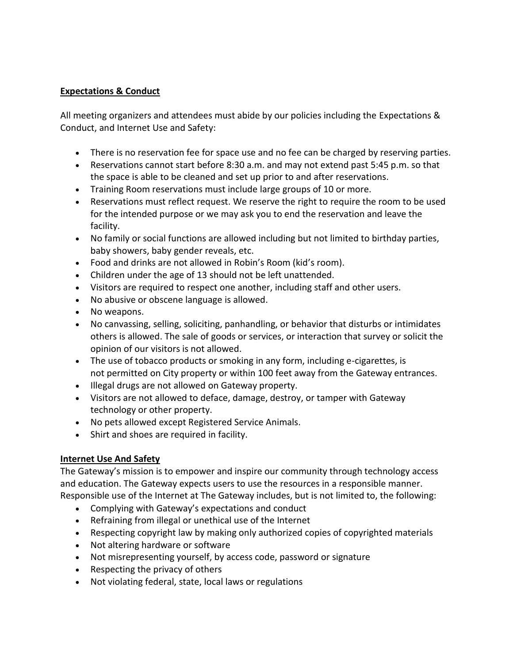#### **Expectations & Conduct**

All meeting organizers and attendees must abide by our policies including the Expectations & Conduct, and Internet Use and Safety:

- There is no reservation fee for space use and no fee can be charged by reserving parties.
- Reservations cannot start before 8:30 a.m. and may not extend past 5:45 p.m. so that the space is able to be cleaned and set up prior to and after reservations.
- Training Room reservations must include large groups of 10 or more.
- Reservations must reflect request. We reserve the right to require the room to be used for the intended purpose or we may ask you to end the reservation and leave the facility.
- No family or social functions are allowed including but not limited to birthday parties, baby showers, baby gender reveals, etc.
- Food and drinks are not allowed in Robin's Room (kid's room).
- Children under the age of 13 should not be left unattended.
- Visitors are required to respect one another, including staff and other users.
- No abusive or obscene language is allowed.
- No weapons.
- No canvassing, selling, soliciting, panhandling, or behavior that disturbs or intimidates others is allowed. The sale of goods or services, or interaction that survey or solicit the opinion of our visitors is not allowed.
- The use of tobacco products or smoking in any form, including e-cigarettes, is not permitted on City property or within 100 feet away from the Gateway entrances.
- Illegal drugs are not allowed on Gateway property.
- Visitors are not allowed to deface, damage, destroy, or tamper with Gateway technology or other property.
- No pets allowed except Registered Service Animals.
- Shirt and shoes are required in facility.

# **Internet Use And Safety**

The Gateway's mission is to empower and inspire our community through technology access and education. The Gateway expects users to use the resources in a responsible manner.

- Responsible use of the Internet at The Gateway includes, but is not limited to, the following:
	- Complying with Gateway's expectations and conduct
	- Refraining from illegal or unethical use of the Internet
	- Respecting copyright law by making only authorized copies of copyrighted materials
	- Not altering hardware or software
	- Not misrepresenting yourself, by access code, password or signature
	- Respecting the privacy of others
	- Not violating federal, state, local laws or regulations